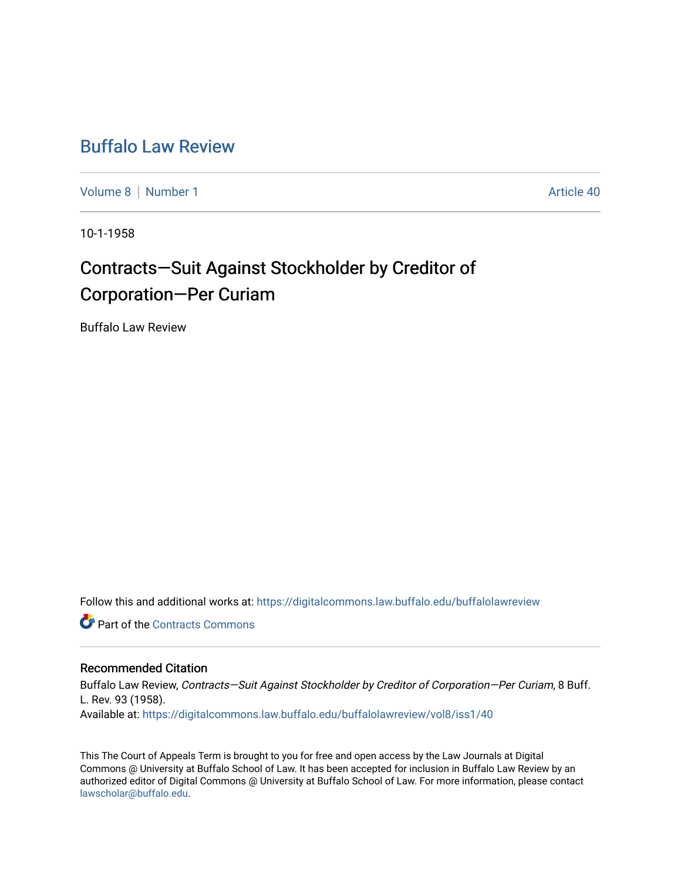## [Buffalo Law Review](https://digitalcommons.law.buffalo.edu/buffalolawreview)

[Volume 8](https://digitalcommons.law.buffalo.edu/buffalolawreview/vol8) | [Number 1](https://digitalcommons.law.buffalo.edu/buffalolawreview/vol8/iss1) Article 40

10-1-1958

# Contracts-Suit Against Stockholder by Creditor of Corporation—Per Curiam

Buffalo Law Review

Follow this and additional works at: [https://digitalcommons.law.buffalo.edu/buffalolawreview](https://digitalcommons.law.buffalo.edu/buffalolawreview?utm_source=digitalcommons.law.buffalo.edu%2Fbuffalolawreview%2Fvol8%2Fiss1%2F40&utm_medium=PDF&utm_campaign=PDFCoverPages) 

**C** Part of the [Contracts Commons](http://network.bepress.com/hgg/discipline/591?utm_source=digitalcommons.law.buffalo.edu%2Fbuffalolawreview%2Fvol8%2Fiss1%2F40&utm_medium=PDF&utm_campaign=PDFCoverPages)

### Recommended Citation

Buffalo Law Review, Contracts—Suit Against Stockholder by Creditor of Corporation—Per Curiam, 8 Buff. L. Rev. 93 (1958). Available at: [https://digitalcommons.law.buffalo.edu/buffalolawreview/vol8/iss1/40](https://digitalcommons.law.buffalo.edu/buffalolawreview/vol8/iss1/40?utm_source=digitalcommons.law.buffalo.edu%2Fbuffalolawreview%2Fvol8%2Fiss1%2F40&utm_medium=PDF&utm_campaign=PDFCoverPages) 

This The Court of Appeals Term is brought to you for free and open access by the Law Journals at Digital Commons @ University at Buffalo School of Law. It has been accepted for inclusion in Buffalo Law Review by an authorized editor of Digital Commons @ University at Buffalo School of Law. For more information, please contact [lawscholar@buffalo.edu](mailto:lawscholar@buffalo.edu).